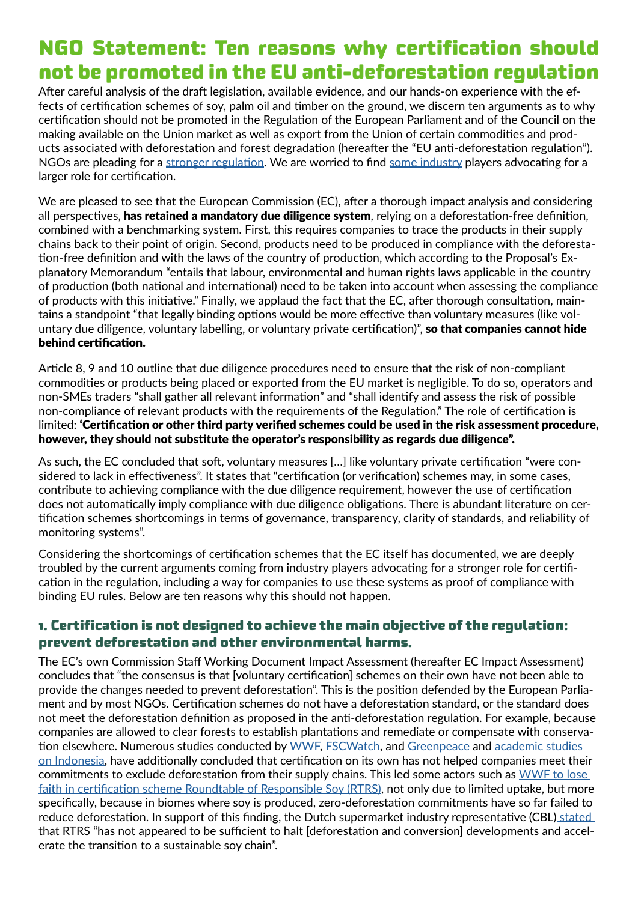# **NGO Statement: Ten reasons why certification should not be promoted in the EU anti-deforestation regulation**

After careful analysis of the draft legislation, available evidence, and our hands-on experience with the effects of certification schemes of soy, palm oil and timber on the ground, we discern ten arguments as to why certification should not be promoted in the Regulation of the European Parliament and of the Council on the making available on the Union market as well as export from the Union of certain commodities and products associated with deforestation and forest degradation (hereafter the "EU anti-deforestation regulation"). NGOs are pleading for a [stronger regulation](https://www.fern.org/publications-insight/civil-society-calls-on-the-eu-and-its-member-states-to-strengthen-the-proposed-regulation-on-deforestation-free-products-2468/). We are worried to find [some industry](https://www.graan.com/dynamic/media/1/documents/2021/EC_voorstel.pdf) players advocating for a larger role for certification.

We are pleased to see that the European Commission (EC), after a thorough impact analysis and considering all perspectives, has retained a mandatory due diligence system, relying on a deforestation-free definition, combined with a benchmarking system. First, this requires companies to trace the products in their supply chains back to their point of origin. Second, products need to be produced in compliance with the deforestation-free definition and with the laws of the country of production, which according to the Proposal's Explanatory Memorandum "entails that labour, environmental and human rights laws applicable in the country of production (both national and international) need to be taken into account when assessing the compliance of products with this initiative." Finally, we applaud the fact that the EC, after thorough consultation, maintains a standpoint "that legally binding options would be more effective than voluntary measures (like voluntary due diligence, voluntary labelling, or voluntary private certification)", so that companies cannot hide behind certification.

Article 8, 9 and 10 outline that due diligence procedures need to ensure that the risk of non-compliant commodities or products being placed or exported from the EU market is negligible. To do so, operators and non-SMEs traders "shall gather all relevant information" and "shall identify and assess the risk of possible non-compliance of relevant products with the requirements of the Regulation." The role of certification is limited: 'Certification or other third party verified schemes could be used in the risk assessment procedure, however, they should not substitute the operator's responsibility as regards due diligence".

As such, the EC concluded that soft, voluntary measures […] like voluntary private certification "were considered to lack in effectiveness". It states that "certification (or verification) schemes may, in some cases, contribute to achieving compliance with the due diligence requirement, however the use of certification does not automatically imply compliance with due diligence obligations. There is abundant literature on certification schemes shortcomings in terms of governance, transparency, clarity of standards, and reliability of monitoring systems".

Considering the shortcomings of certification schemes that the EC itself has documented, we are deeply troubled by the current arguments coming from industry players advocating for a stronger role for certification in the regulation, including a way for companies to use these systems as proof of compliance with binding EU rules. Below are ten reasons why this should not happen.

# **1. Certification is not designed to achieve the main objective of the regulation: prevent deforestation and other environmental harms.**

The EC's own Commission Staff Working Document Impact Assessment (hereafter EC Impact Assessment) concludes that "the consensus is that [voluntary certification] schemes on their own have not been able to provide the changes needed to prevent deforestation". This is the position defended by the European Parliament and by most NGOs. Certification schemes do not have a deforestation standard, or the standard does not meet the deforestation definition as proposed in the anti-deforestation regulation. For example, because companies are allowed to clear forests to establish plantations and remediate or compensate with conserva-tion elsewhere. Numerous studies conducted by [WWF,](https://www.wwf.nl/globalassets/pdf/stepping-up-the-continuing-impact-of-eu-consumption-on-nature-worldwide.pdf) [FSCWatch,](https://fsc-watch.com/2018/10/18/new-documentary-slams-fsc-the-eco-label-could-not-slow-down-the-forest-industry/) and [Greenpeace](https://www.greenpeace.org/static/planet4-international-stateless/2021/04/b1e486be-greenpeace-international-report-destruction-certified_finaloptimised.pdf) and academic studies [on Indonesia,](https://www.pnas.org/doi/abs/10.1073/pnas.1704728114) have additionally concluded that certification on its own has not helped companies meet their commitments to exclude deforestation from their supply chains. This led some actors such as WWF to lose [faith in certification scheme Roundtable of Responsible Soy \(RTRS\),](https://www.bnnvara.nl/zembla/artikelen/foute-soja-in-duurzaam-veevoer) not only due to limited uptake, but more specifically, because in biomes where soy is produced, zero-deforestation commitments have so far failed to reduce deforestation. In support of this finding, the Dutch supermarket industry representative (CBL) [stated](https://www.cbl.nl/app/uploads/2022/03/Ambitie-Nederlandse-supermarktbranche-een-ontbossings-en-conversievrije-sojaketen-in-2025.pdf)  that RTRS "has not appeared to be sufficient to halt [deforestation and conversion] developments and accelerate the transition to a sustainable soy chain".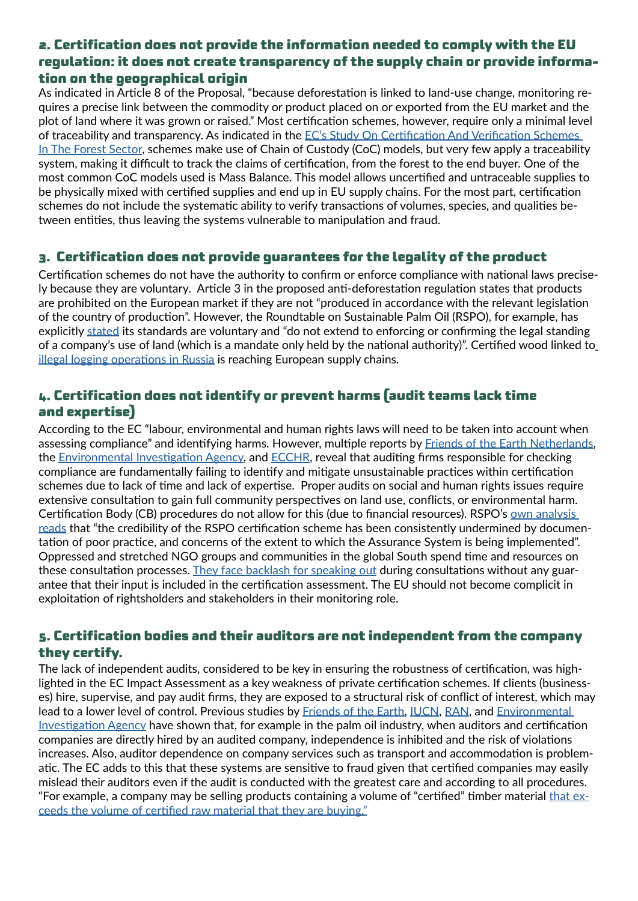# **2. Certification does not provide the information needed to comply with the EU regulation: it does not create transparency of the supply chain or provide information on the geographical origin**

As indicated in Article 8 of the Proposal, "because deforestation is linked to land-use change, monitoring requires a precise link between the commodity or product placed on or exported from the EU market and the plot of land where it was grown or raised." Most certification schemes, however, require only a minimal level of traceability and transparency. As indicated in the [EC's Study On Certification And Verification Schemes](https://op.europa.eu/en/publication-detail/-/publication/afa5e0df-fb19-11eb-b520-01aa75ed71a1/language-en)  [In The Forest Sector,](https://op.europa.eu/en/publication-detail/-/publication/afa5e0df-fb19-11eb-b520-01aa75ed71a1/language-en) schemes make use of Chain of Custody (CoC) models, but very few apply a traceability system, making it difficult to track the claims of certification, from the forest to the end buyer. One of the most common CoC models used is Mass Balance. This model allows uncertified and untraceable supplies to be physically mixed with certified supplies and end up in EU supply chains. For the most part, certification schemes do not include the systematic ability to verify transactions of volumes, species, and qualities between entities, thus leaving the systems vulnerable to manipulation and fraud.

## **3. Certification does not provide guarantees for the legality of the product**

Certification schemes do not have the authority to confirm or enforce compliance with national laws precisely because they are voluntary. Article 3 in the proposed anti-deforestation regulation states that products are prohibited on the European market if they are not "produced in accordance with the relevant legislation of the country of production". However, the Roundtable on Sustainable Palm Oil (RSPO), for example, has explicitly [stated](https://www.theguardian.com/environment/2021/oct/21/indonesia-palm-oil-sites-forests-greenpeace) its standards are voluntary and "do not extend to enforcing or confirming the legal standing of a company's use of land (which is a mandate only held by the national authority)". Certified wood linked to [illegal logging operations in Russia](https://www.earthsight.org.uk/news/investigations/ikea-house-of-horrors) is reaching European supply chains.

# **4. Certification does not identify or prevent harms (audit teams lack time and expertise)**

According to the EC "labour, environmental and human rights laws will need to be taken into account when assessing compliance" and identifying harms. However, multiple reports by [Friends of the Earth Netherlands,](https://en.milieudefensie.nl/news/palm-oil-certification-not-out-of-the-woods.pdf) the [Environmental Investigation Agency](https://eia-international.org/wp-content/uploads/EIA-Who-Watches-the-Watchmen-FINAL.pdf), and [ECCHR](https://www.ecchr.eu/fileadmin/Publikationen/ECCHR_BfdW_MISEREOR_AUDITS_PP_June2021.pdf), reveal that auditing firms responsible for checking compliance are fundamentally failing to identify and mitigate unsustainable practices within certification schemes due to lack of time and lack of expertise. Proper audits on social and human rights issues require extensive consultation to gain full community perspectives on land use, conflicts, or environmental harm. Certification Body (CB) procedures do not allow for this (due to financial resources). RSPO's own analysis [reads](file:///C:/Users/Communicatie/Downloads/RSPO%20Gap%20Analysis%20report%20-%20English.pdf) that "the credibility of the RSPO certification scheme has been consistently undermined by documentation of poor practice, and concerns of the extent to which the Assurance System is being implemented". Oppressed and stretched NGO groups and communities in the global South spend time and resources on these consultation processes. [They face backlash for speaking out](https://www.farmlandgrab.org/post/view/30922-sierra-leone-arbitrary-harassment-and-criminalization-of-land-activists-in-malen-chiefdom-peacefully-objecting-to-the-rspo-certification-of-socfin) during consultations without any guarantee that their input is included in the certification assessment. The EU should not become complicit in exploitation of rightsholders and stakeholders in their monitoring role.

# **5. Certification bodies and their auditors are not independent from the company they certify.**

The lack of independent audits, considered to be key in ensuring the robustness of certification, was highlighted in the EC Impact Assessment as a key weakness of private certification schemes. If clients (businesses) hire, supervise, and pay audit firms, they are exposed to a structural risk of conflict of interest, which may lead to a lower level of control. Previous studies by [Friends of the Earth,](https://en.milieudefensie.nl/news/palm-oil-certification-not-out-of-the-woods.pdf) [IUCN,](https://www.iucn.nl/app/uploads/2021/03/iucn_nl_2021_review_rspo_assurance_systems.pdf) [RAN,](https://www.ran.org/press-releases/palm_oil_innovation_group_poig_pushes_for_stronger_labour_rights_assessments_and_auditing_procedures_at_rspo_annual_meeting/) and [Environmental](https://eia-international.org/wp-content/uploads/EIA-Who-Watches-the-Watchmen-FINAL.pdf)  [Investigation Agency](https://eia-international.org/wp-content/uploads/EIA-Who-Watches-the-Watchmen-FINAL.pdf) have shown that, for example in the palm oil industry, when auditors and certification companies are directly hired by an audited company, independence is inhibited and the risk of violations increases. Also, auditor dependence on company services such as transport and accommodation is problematic. The EC adds to this that these systems are sensitive to fraud given that certified companies may easily mislead their auditors even if the audit is conducted with the greatest care and according to all procedures. "For example, a company may be selling products containing a volume of "certified" timber material [that ex](https://eur-lex.europa.eu/legal-content/EN/TXT/HTML/?uri=CELEX:52021SC0326&from=EN)[ceeds the volume of certified raw material that they are buying."](https://eur-lex.europa.eu/legal-content/EN/TXT/HTML/?uri=CELEX:52021SC0326&from=EN)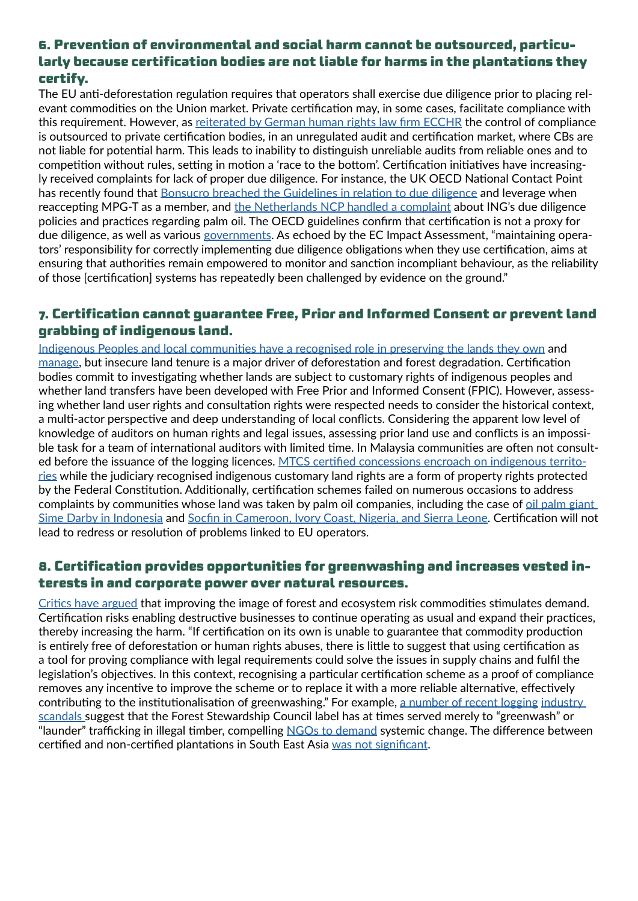# **6. Prevention of environmental and social harm cannot be outsourced, particularly because certification bodies are not liable for harms in the plantations they certify.**

The EU anti-deforestation regulation requires that operators shall exercise due diligence prior to placing relevant commodities on the Union market. Private certification may, in some cases, facilitate compliance with this requirement. However, as [reiterated by German human rights law firm ECCHR](https://www.ecchr.eu/fileadmin/Publikationen/ECCHR_BfdW_MISEREOR_AUDITS_PP_June2021.pdf) the control of compliance is outsourced to private certification bodies, in an unregulated audit and certification market, where CBs are not liable for potential harm. This leads to inability to distinguish unreliable audits from reliable ones and to competition without rules, setting in motion a 'race to the bottom'. Certification initiatives have increasingly received complaints for lack of proper due diligence. For instance, the UK OECD National Contact Point has recently found that [Bonsucro breached the Guidelines in relation to due diligence](https://www.gov.uk/government/publications/idi-ec-and-licadho-complaint-to-uk-ncp-about-bonsucro-ltd/final-statement-idi-ec-and-licadho-complaint-to-uk-ncp-about-bonsucro-ltd) and leverage when reaccepting MPG-T as a member, and [the Netherlands NCP handled a complaint](https://www.oesorichtlijnen.nl/meldingen/documenten/publicatie/2022/04/07/foe-ing-eindverklaring) about ING's due diligence policies and practices regarding palm oil. The OECD guidelines confirm that certification is not a proxy for due diligence, as well as various [governments](https://www.tweedekamer.nl/kamerstukken/detail?id=2021D48485&did=2021D48485). As echoed by the EC Impact Assessment, "maintaining operators' responsibility for correctly implementing due diligence obligations when they use certification, aims at ensuring that authorities remain empowered to monitor and sanction incompliant behaviour, as the reliability of those [certification] systems has repeatedly been challenged by evidence on the ground."

# **7. Certification cannot guarantee Free, Prior and Informed Consent or prevent land grabbing of indigenous land.**

[Indigenous Peoples and local communities have a recognised role in preserving the lands they own](https://www.un.org/esa/socdev/unpfii/documents/DRIPS_en.pdf) and [manage,](https://www.fao.org/plant-treaty/en/) but insecure land tenure is a major driver of deforestation and forest degradation. Certification bodies commit to investigating whether lands are subject to customary rights of indigenous peoples and whether land transfers have been developed with Free Prior and Informed Consent (FPIC). However, assessing whether land user rights and consultation rights were respected needs to consider the historical context, a multi-actor perspective and deep understanding of local conflicts. Considering the apparent low level of knowledge of auditors on human rights and legal issues, assessing prior land use and conflicts is an impossible task for a team of international auditors with limited time. In Malaysia communities are often not consulted before the issuance of the logging licences. [MTCS certified concessions encroach on indigenous territo](https://foe-malaysia.org/articles/encroachment-on-orang-asli-customary-land-in-malaysia-causes-solutions/)[ries](https://foe-malaysia.org/articles/encroachment-on-orang-asli-customary-land-in-malaysia-causes-solutions/) while the judiciary recognised indigenous customary land rights are a form of property rights protected by the Federal Constitution. Additionally, certification schemes failed on numerous occasions to address complaints by communities whose land was taken by palm oil companies, including the case of [oil palm giant](https://www.oecdwatch.org/complaint/tuk-indonesia-vs-roundtable-on-sustainable-palm-oil-rspo/)  [Sime Darby in Indonesia](https://www.oecdwatch.org/complaint/tuk-indonesia-vs-roundtable-on-sustainable-palm-oil-rspo/) and [Socfin in Cameroon, Ivory Coast, Nigeria, and Sierra Leone](https://en.milieudefensie.nl/news/palm-oil-certification-not-out-of-the-woods.pdf). Certification will not lead to redress or resolution of problems linked to EU operators.

# **8. Certification provides opportunities for greenwashing and increases vested interests in and corporate power over natural resources.**

[Critics have argued](https://www.greenpeace.org/static/planet4-international-stateless/2021/04/b1e486be-greenpeace-international-report-destruction-certified_finaloptimised.pdf) that improving the image of forest and ecosystem risk commodities stimulates demand. Certification risks enabling destructive businesses to continue operating as usual and expand their practices, thereby increasing the harm. "If certification on its own is unable to guarantee that commodity production is entirely free of deforestation or human rights abuses, there is little to suggest that using certification as a tool for proving compliance with legal requirements could solve the issues in supply chains and fulfil the legislation's objectives. In this context, recognising a particular certification scheme as a proof of compliance removes any incentive to improve the scheme or to replace it with a more reliable alternative, effectively contributing to the institutionalisation of greenwashing." For example, [a number of recent logging](https://e360.yale.edu/features/greenwashed-timber-how-sustainable-forest-certification-has-failed) industry [scandals](https://www.earthsight.org.uk/news/blog-fsc-hall-of-shame-the-ethical-wood-label-long-list-of-scandals) suggest that the Forest Stewardship Council label has at times served merely to "greenwash" or "launder" trafficking in illegal timber, compelling [NGOs to demand](https://www.earthsight.org.uk/news/blog-open-letter-fsc-no-longer-fit-for-purpose-and-must-urgently-reform) systemic change. The difference between certified and non-certified plantations in South East Asia [was not significant](https://validate.perfdrive.com/?ssa=2bb96161-b5d2-44f8-aa55-db546f9e82b1&ssb=14055296638&ssc=https%3A%2F%2Fiopscience.iop.org%2Farticle%2F10.1088%2F1748-9326%2Faac6f4&ssi=1eba6385-8427-4867-811a-e1430e9a7493&ssk=support@shieldsquare.com&ssm=21150021306718875109823577923761&ssn=f3763ff193c34e6c0477592b97097a8b9823c7c4be3a-8c64-4a39-aabc7a&sso=9677ca61-4be0c0ce5d77b688570bc7afc18e3a13d31bfa282a87cdca&ssp=22037171371654026858165404495989048&ssq=30998669145191900647991451587606063398783&ssr=ODMuOTYuMTgwLjEzMQ==&sst=Mozilla/5.0%20(Windows%20NT%2010.0;%20Win64;%20x64)%20AppleWebKit/537.36%20(KHTML,%20like%20Gecko)%20Chrome/101.0.4951.64%20Safari/537.36%20Edg/101.0.1210.53&ssv=&ssw=&ssx=W10=).